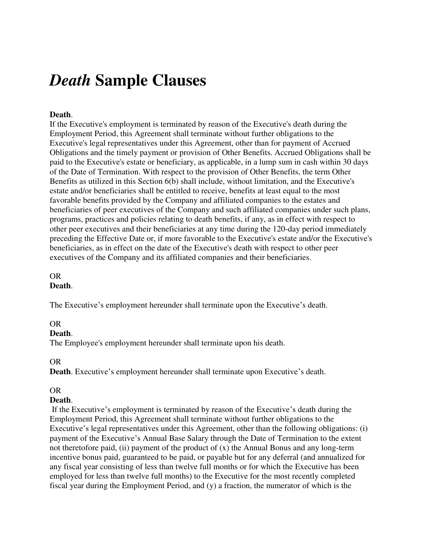# *Death* **Sample Clauses**

#### **Death**.

If the Executive's employment is terminated by reason of the Executive's death during the Employment Period, this Agreement shall terminate without further obligations to the Executive's legal representatives under this Agreement, other than for payment of Accrued Obligations and the timely payment or provision of Other Benefits. Accrued Obligations shall be paid to the Executive's estate or beneficiary, as applicable, in a lump sum in cash within 30 days of the Date of Termination. With respect to the provision of Other Benefits, the term Other Benefits as utilized in this Section 6(b) shall include, without limitation, and the Executive's estate and/or beneficiaries shall be entitled to receive, benefits at least equal to the most favorable benefits provided by the Company and affiliated companies to the estates and beneficiaries of peer executives of the Company and such affiliated companies under such plans, programs, practices and policies relating to death benefits, if any, as in effect with respect to other peer executives and their beneficiaries at any time during the 120-day period immediately preceding the Effective Date or, if more favorable to the Executive's estate and/or the Executive's beneficiaries, as in effect on the date of the Executive's death with respect to other peer executives of the Company and its affiliated companies and their beneficiaries.

## OR

**Death**.

The Executive's employment hereunder shall terminate upon the Executive's death.

## OR

#### **Death**.

The Employee's employment hereunder shall terminate upon his death.

## OR

**Death**. Executive's employment hereunder shall terminate upon Executive's death.

## OR

## **Death**.

 If the Executive's employment is terminated by reason of the Executive's death during the Employment Period, this Agreement shall terminate without further obligations to the Executive's legal representatives under this Agreement, other than the following obligations: (i) payment of the Executive's Annual Base Salary through the Date of Termination to the extent not theretofore paid, (ii) payment of the product of  $(x)$  the Annual Bonus and any long-term incentive bonus paid, guaranteed to be paid, or payable but for any deferral (and annualized for any fiscal year consisting of less than twelve full months or for which the Executive has been employed for less than twelve full months) to the Executive for the most recently completed fiscal year during the Employment Period, and (y) a fraction, the numerator of which is the